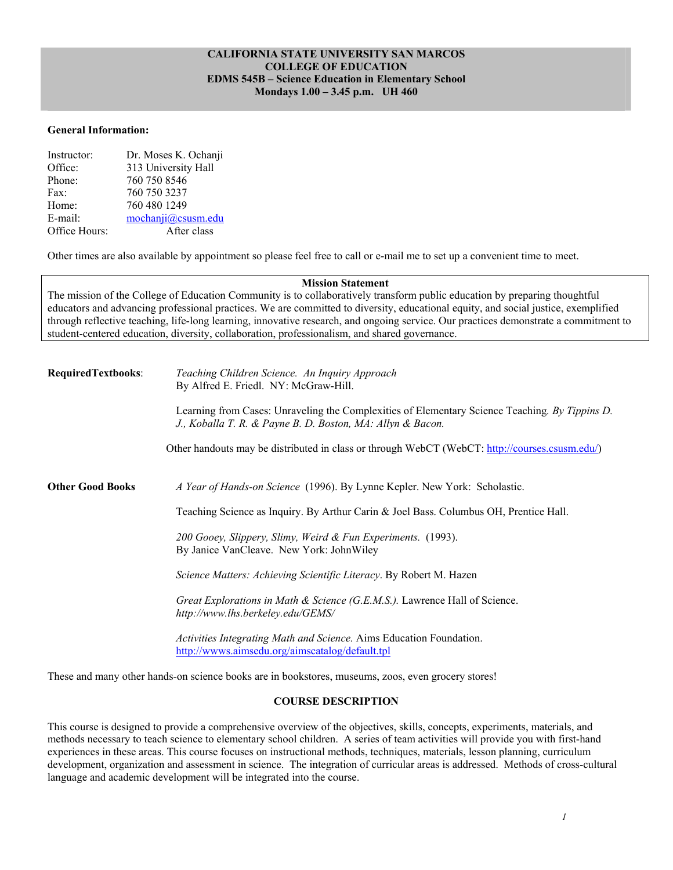### **CALIFORNIA STATE UNIVERSITY SAN MARCOS COLLEGE OF EDUCATION EDMS 545B – Science Education in Elementary School Mondays 1.00 – 3.45 p.m. UH 460**

#### **General Information:**

| Instructor:   | Dr. Moses K. Ochanji |
|---------------|----------------------|
| Office:       | 313 University Hall  |
| Phone:        | 760 750 8546         |
| Fax:          | 760 750 3237         |
| Home:         | 760 480 1249         |
| E-mail:       | mochanii@cssusm.edu  |
| Office Hours: | After class          |

Other times are also available by appointment so please feel free to call or e-mail me to set up a convenient time to meet.

#### **Mission Statement**

The mission of the College of Education Community is to collaboratively transform public education by preparing thoughtful educators and advancing professional practices. We are committed to diversity, educational equity, and social justice, exemplified through reflective teaching, life-long learning, innovative research, and ongoing service. Our practices demonstrate a commitment to student-centered education, diversity, collaboration, professionalism, and shared governance.

| <b>RequiredTextbooks:</b> | Teaching Children Science. An Inquiry Approach<br>By Alfred E. Friedl. NY: McGraw-Hill.                                                                      |  |  |  |
|---------------------------|--------------------------------------------------------------------------------------------------------------------------------------------------------------|--|--|--|
|                           | Learning from Cases: Unraveling the Complexities of Elementary Science Teaching. By Tippins D.<br>J., Koballa T. R. & Payne B. D. Boston, MA: Allyn & Bacon. |  |  |  |
|                           | Other handouts may be distributed in class or through WebCT (WebCT: http://courses.csusm.edu/)                                                               |  |  |  |
| <b>Other Good Books</b>   | A Year of Hands-on Science (1996). By Lynne Kepler. New York: Scholastic.                                                                                    |  |  |  |
|                           | Teaching Science as Inquiry. By Arthur Carin & Joel Bass. Columbus OH, Prentice Hall.                                                                        |  |  |  |
|                           | 200 Gooey, Slippery, Slimy, Weird & Fun Experiments. (1993).<br>By Janice VanCleave. New York: JohnWiley                                                     |  |  |  |
|                           | Science Matters: Achieving Scientific Literacy. By Robert M. Hazen                                                                                           |  |  |  |
|                           | Great Explorations in Math & Science (G.E.M.S.). Lawrence Hall of Science.<br>http://www.lhs.berkeley.edu/GEMS/                                              |  |  |  |
|                           | Activities Integrating Math and Science. Aims Education Foundation.<br>http://wwws.aimsedu.org/aimscatalog/default.tpl                                       |  |  |  |

These and many other hands-on science books are in bookstores, museums, zoos, even grocery stores!

#### **COURSE DESCRIPTION**

This course is designed to provide a comprehensive overview of the objectives, skills, concepts, experiments, materials, and methods necessary to teach science to elementary school children. A series of team activities will provide you with first-hand experiences in these areas. This course focuses on instructional methods, techniques, materials, lesson planning, curriculum development, organization and assessment in science. The integration of curricular areas is addressed. Methods of cross-cultural language and academic development will be integrated into the course.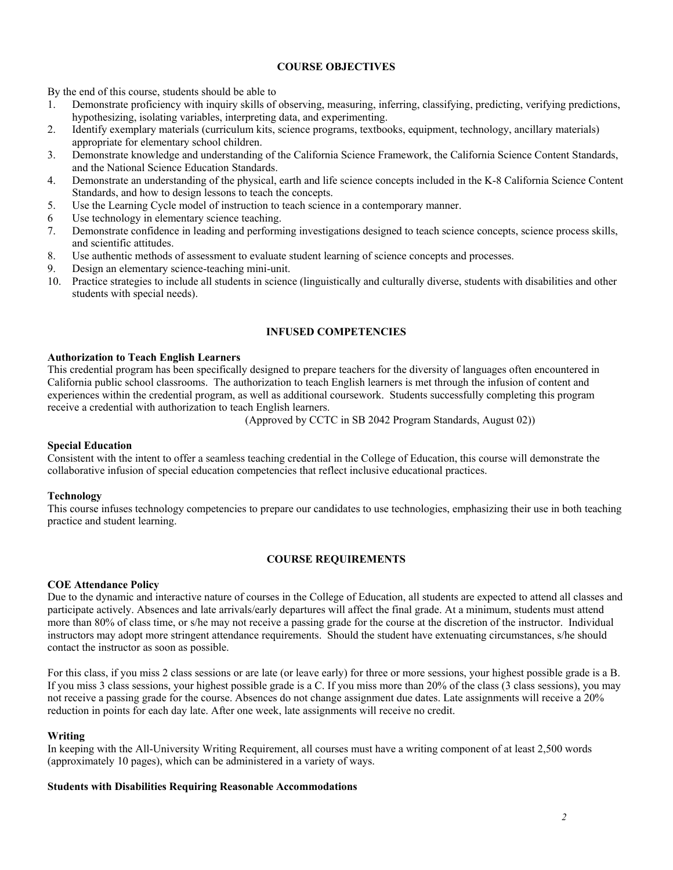### **COURSE OBJECTIVES**

By the end of this course, students should be able to

- 1. Demonstrate proficiency with inquiry skills of observing, measuring, inferring, classifying, predicting, verifying predictions, hypothesizing, isolating variables, interpreting data, and experimenting.
- 2. Identify exemplary materials (curriculum kits, science programs, textbooks, equipment, technology, ancillary materials) appropriate for elementary school children.
- 3. Demonstrate knowledge and understanding of the California Science Framework, the California Science Content Standards, and the National Science Education Standards.
- 4. Demonstrate an understanding of the physical, earth and life science concepts included in the K-8 California Science Content Standards, and how to design lessons to teach the concepts.
- 5. Use the Learning Cycle model of instruction to teach science in a contemporary manner.
- 6 Use technology in elementary science teaching.
- 7. Demonstrate confidence in leading and performing investigations designed to teach science concepts, science process skills, and scientific attitudes.
- 8. Use authentic methods of assessment to evaluate student learning of science concepts and processes.
- 9. Design an elementary science-teaching mini-unit.
- 10. Practice strategies to include all students in science (linguistically and culturally diverse, students with disabilities and other students with special needs).

### **INFUSED COMPETENCIES**

### **Authorization to Teach English Learners**

This credential program has been specifically designed to prepare teachers for the diversity of languages often encountered in California public school classrooms. The authorization to teach English learners is met through the infusion of content and experiences within the credential program, as well as additional coursework. Students successfully completing this program receive a credential with authorization to teach English learners.

(Approved by CCTC in SB 2042 Program Standards, August 02))

#### **Special Education**

Consistent with the intent to offer a seamless teaching credential in the College of Education, this course will demonstrate the collaborative infusion of special education competencies that reflect inclusive educational practices.

#### **Technology**

This course infuses technology competencies to prepare our candidates to use technologies, emphasizing their use in both teaching practice and student learning.

### **COURSE REQUIREMENTS**

### **COE Attendance Policy**

Due to the dynamic and interactive nature of courses in the College of Education, all students are expected to attend all classes and participate actively. Absences and late arrivals/early departures will affect the final grade. At a minimum, students must attend more than 80% of class time, or s/he may not receive a passing grade for the course at the discretion of the instructor. Individual instructors may adopt more stringent attendance requirements. Should the student have extenuating circumstances, s/he should contact the instructor as soon as possible.

For this class, if you miss 2 class sessions or are late (or leave early) for three or more sessions, your highest possible grade is a B. If you miss 3 class sessions, your highest possible grade is a C. If you miss more than 20% of the class (3 class sessions), you may not receive a passing grade for the course. Absences do not change assignment due dates. Late assignments will receive a 20% reduction in points for each day late. After one week, late assignments will receive no credit.

#### **Writing**

In keeping with the All-University Writing Requirement, all courses must have a writing component of at least 2,500 words (approximately 10 pages), which can be administered in a variety of ways.

### **Students with Disabilities Requiring Reasonable Accommodations**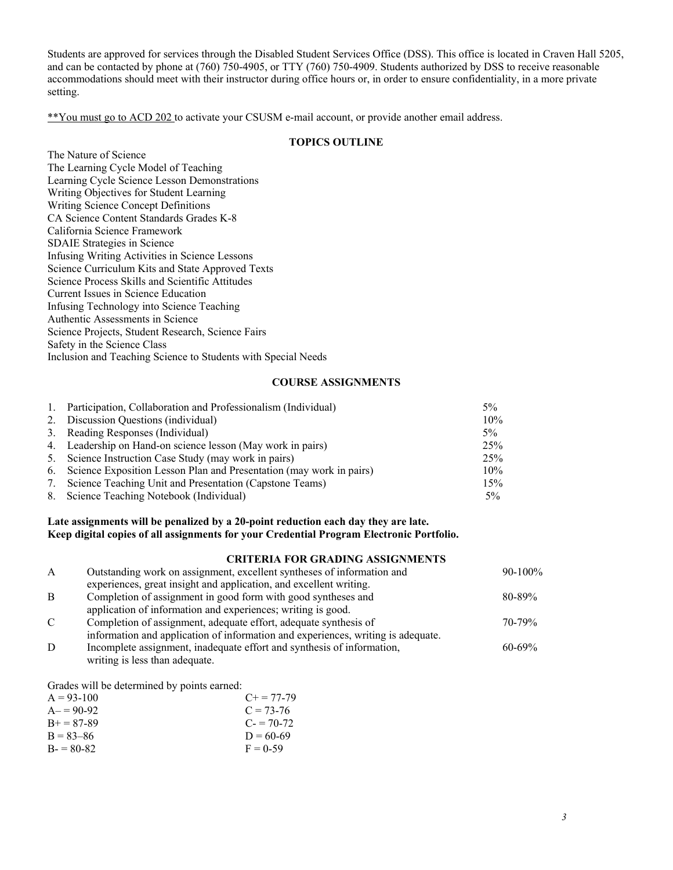Students are approved for services through the Disabled Student Services Office (DSS). This office is located in Craven Hall 5205, and can be contacted by phone at (760) 750-4905, or TTY (760) 750-4909. Students authorized by DSS to receive reasonable accommodations should meet with their instructor during office hours or, in order to ensure confidentiality, in a more private setting.

\*\*You must go to ACD 202 to activate your CSUSM e-mail account, or provide another email address.

## **TOPICS OUTLINE**

|                                                               | 1 V 1 1 U 9 |
|---------------------------------------------------------------|-------------|
| The Nature of Science                                         |             |
| The Learning Cycle Model of Teaching                          |             |
| Learning Cycle Science Lesson Demonstrations                  |             |
| Writing Objectives for Student Learning                       |             |
| Writing Science Concept Definitions                           |             |
| CA Science Content Standards Grades K-8                       |             |
| California Science Framework                                  |             |
| <b>SDAIE</b> Strategies in Science                            |             |
| Infusing Writing Activities in Science Lessons                |             |
| Science Curriculum Kits and State Approved Texts              |             |
| Science Process Skills and Scientific Attitudes               |             |
| Current Issues in Science Education                           |             |
| Infusing Technology into Science Teaching                     |             |
| Authentic Assessments in Science                              |             |
| Science Projects, Student Research, Science Fairs             |             |
| Safety in the Science Class                                   |             |
| Inclusion and Teaching Science to Students with Special Needs |             |
|                                                               |             |

#### **COURSE ASSIGNMENTS**

|    | 1. Participation, Collaboration and Professionalism (Individual)       | $5\%$ |
|----|------------------------------------------------------------------------|-------|
|    | 2. Discussion Questions (individual)                                   | 10%   |
|    | 3. Reading Responses (Individual)                                      | 5%    |
|    | 4. Leadership on Hand-on science lesson (May work in pairs)            | 25%   |
|    | 5. Science Instruction Case Study (may work in pairs)                  | 25%   |
|    | 6. Science Exposition Lesson Plan and Presentation (may work in pairs) | 10%   |
| 7. | Science Teaching Unit and Presentation (Capstone Teams)                | 15%   |
|    | 8. Science Teaching Notebook (Individual)                              | $5\%$ |

### **Late assignments will be penalized by a 20-point reduction each day they are late. Keep digital copies of all assignments for your Credential Program Electronic Portfolio.**

#### **CRITERIA FOR GRADING ASSIGNMENTS**

| $\mathbf{A}$  | Outstanding work on assignment, excellent syntheses of information and           | $90-100\%$  |
|---------------|----------------------------------------------------------------------------------|-------------|
|               | experiences, great insight and application, and excellent writing.               |             |
| B             | Completion of assignment in good form with good syntheses and                    | $80 - 89\%$ |
|               | application of information and experiences; writing is good.                     |             |
| $\mathcal{C}$ | Completion of assignment, adequate effort, adequate synthesis of                 | $70 - 79\%$ |
|               | information and application of information and experiences, writing is adequate. |             |
| D             | Incomplete assignment, inadequate effort and synthesis of information,           | $60 - 69\%$ |
|               | writing is less than adequate.                                                   |             |

Grades will be determined by points earned:

| $A = 93-100$  | $C_{\pm} = 77 - 79$ |
|---------------|---------------------|
| $A = 90-92$   | $C = 73-76$         |
| $B + 87-89$   | $C = 70-72$         |
| $B = 83 - 86$ | $D = 60-69$         |
| $B = 80-82$   | $F = 0.59$          |
|               |                     |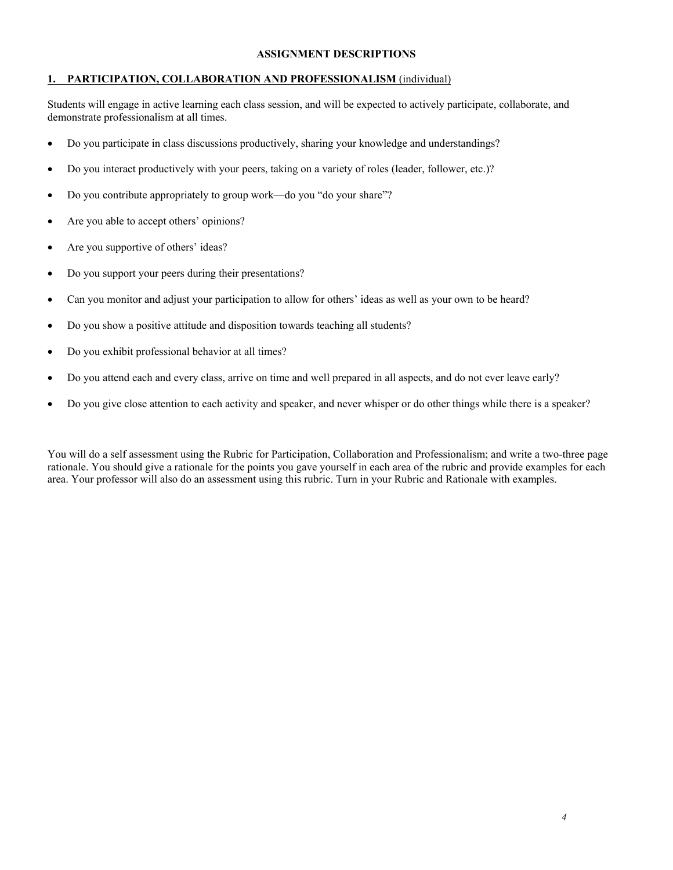## **ASSIGNMENT DESCRIPTIONS**

### **1. PARTICIPATION, COLLABORATION AND PROFESSIONALISM** (individual)

Students will engage in active learning each class session, and will be expected to actively participate, collaborate, and demonstrate professionalism at all times.

- Do you participate in class discussions productively, sharing your knowledge and understandings?
- Do you interact productively with your peers, taking on a variety of roles (leader, follower, etc.)?
- Do you contribute appropriately to group work—do you "do your share"?
- Are you able to accept others' opinions?
- Are you supportive of others' ideas?
- Do you support your peers during their presentations?
- Can you monitor and adjust your participation to allow for others' ideas as well as your own to be heard?
- Do you show a positive attitude and disposition towards teaching all students?
- Do you exhibit professional behavior at all times?
- Do you attend each and every class, arrive on time and well prepared in all aspects, and do not ever leave early?
- Do you give close attention to each activity and speaker, and never whisper or do other things while there is a speaker?

You will do a self assessment using the Rubric for Participation, Collaboration and Professionalism; and write a two-three page rationale. You should give a rationale for the points you gave yourself in each area of the rubric and provide examples for each area. Your professor will also do an assessment using this rubric. Turn in your Rubric and Rationale with examples.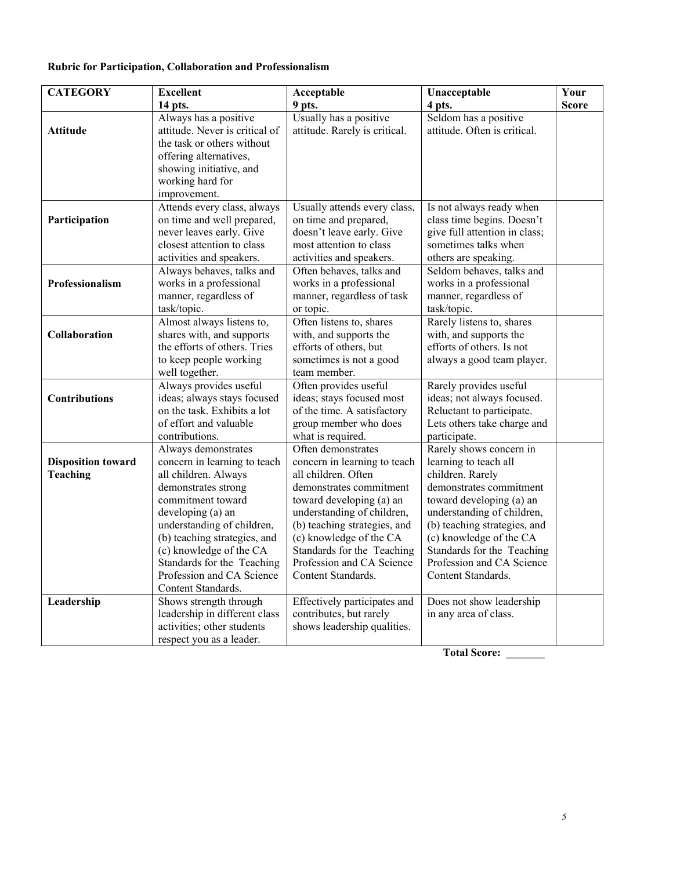# **Rubric for Participation, Collaboration and Professionalism**

| <b>CATEGORY</b>                              | <b>Excellent</b>                                                                                                                                                                                                                                                                                                       | Acceptable                                                                                                                                                                                                                                                                                                 | Unacceptable                                                                                                                                                                                                                                                                                          | Your         |
|----------------------------------------------|------------------------------------------------------------------------------------------------------------------------------------------------------------------------------------------------------------------------------------------------------------------------------------------------------------------------|------------------------------------------------------------------------------------------------------------------------------------------------------------------------------------------------------------------------------------------------------------------------------------------------------------|-------------------------------------------------------------------------------------------------------------------------------------------------------------------------------------------------------------------------------------------------------------------------------------------------------|--------------|
|                                              | 14 pts.                                                                                                                                                                                                                                                                                                                | 9 pts.                                                                                                                                                                                                                                                                                                     | 4 pts.                                                                                                                                                                                                                                                                                                | <b>Score</b> |
| <b>Attitude</b>                              | Always has a positive<br>attitude. Never is critical of<br>the task or others without<br>offering alternatives,<br>showing initiative, and<br>working hard for<br>improvement.                                                                                                                                         | Usually has a positive<br>attitude. Rarely is critical.                                                                                                                                                                                                                                                    | Seldom has a positive<br>attitude. Often is critical.                                                                                                                                                                                                                                                 |              |
| Participation                                | Attends every class, always<br>on time and well prepared,<br>never leaves early. Give<br>closest attention to class<br>activities and speakers.                                                                                                                                                                        | Usually attends every class,<br>on time and prepared,<br>doesn't leave early. Give<br>most attention to class<br>activities and speakers.                                                                                                                                                                  | Is not always ready when<br>class time begins. Doesn't<br>give full attention in class;<br>sometimes talks when<br>others are speaking.                                                                                                                                                               |              |
| Professionalism                              | Always behaves, talks and<br>works in a professional<br>manner, regardless of<br>task/topic.                                                                                                                                                                                                                           | Often behaves, talks and<br>works in a professional<br>manner, regardless of task<br>or topic.                                                                                                                                                                                                             | Seldom behaves, talks and<br>works in a professional<br>manner, regardless of<br>task/topic.                                                                                                                                                                                                          |              |
| Collaboration                                | Almost always listens to,<br>shares with, and supports<br>the efforts of others. Tries<br>to keep people working<br>well together.                                                                                                                                                                                     | Often listens to, shares<br>with, and supports the<br>efforts of others, but<br>sometimes is not a good<br>team member.                                                                                                                                                                                    | Rarely listens to, shares<br>with, and supports the<br>efforts of others. Is not<br>always a good team player.                                                                                                                                                                                        |              |
| <b>Contributions</b>                         | Always provides useful<br>ideas; always stays focused<br>on the task. Exhibits a lot<br>of effort and valuable<br>contributions.                                                                                                                                                                                       | Often provides useful<br>ideas; stays focused most<br>of the time. A satisfactory<br>group member who does<br>what is required.                                                                                                                                                                            | Rarely provides useful<br>ideas; not always focused.<br>Reluctant to participate.<br>Lets others take charge and<br>participate.                                                                                                                                                                      |              |
| <b>Disposition toward</b><br><b>Teaching</b> | Always demonstrates<br>concern in learning to teach<br>all children. Always<br>demonstrates strong<br>commitment toward<br>developing (a) an<br>understanding of children,<br>(b) teaching strategies, and<br>(c) knowledge of the CA<br>Standards for the Teaching<br>Profession and CA Science<br>Content Standards. | Often demonstrates<br>concern in learning to teach<br>all children. Often<br>demonstrates commitment<br>toward developing (a) an<br>understanding of children,<br>(b) teaching strategies, and<br>(c) knowledge of the CA<br>Standards for the Teaching<br>Profession and CA Science<br>Content Standards. | Rarely shows concern in<br>learning to teach all<br>children. Rarely<br>demonstrates commitment<br>toward developing (a) an<br>understanding of children,<br>(b) teaching strategies, and<br>(c) knowledge of the CA<br>Standards for the Teaching<br>Profession and CA Science<br>Content Standards. |              |
| Leadership                                   | Shows strength through<br>leadership in different class<br>activities; other students<br>respect you as a leader.                                                                                                                                                                                                      | Effectively participates and<br>contributes, but rarely<br>shows leadership qualities.                                                                                                                                                                                                                     | Does not show leadership<br>in any area of class.                                                                                                                                                                                                                                                     |              |

 **Total Score: \_\_\_\_\_\_\_**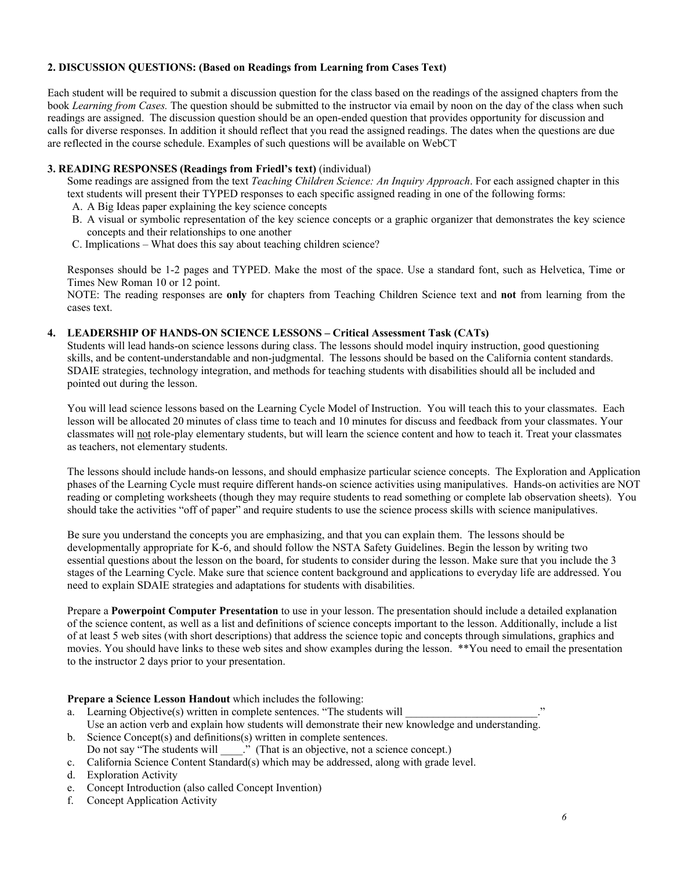### **2. DISCUSSION QUESTIONS: (Based on Readings from Learning from Cases Text)**

Each student will be required to submit a discussion question for the class based on the readings of the assigned chapters from the book *Learning from Cases.* The question should be submitted to the instructor via email by noon on the day of the class when such readings are assigned. The discussion question should be an open-ended question that provides opportunity for discussion and calls for diverse responses. In addition it should reflect that you read the assigned readings. The dates when the questions are due are reflected in the course schedule. Examples of such questions will be available on WebCT

#### **3. READING RESPONSES (Readings from Friedl's text)** (individual)

Some readings are assigned from the text *Teaching Children Science: An Inquiry Approach*. For each assigned chapter in this text students will present their TYPED responses to each specific assigned reading in one of the following forms:

- A. A Big Ideas paper explaining the key science concepts
- B. A visual or symbolic representation of the key science concepts or a graphic organizer that demonstrates the key science concepts and their relationships to one another
- C. Implications What does this say about teaching children science?

Responses should be 1-2 pages and TYPED. Make the most of the space. Use a standard font, such as Helvetica, Time or Times New Roman 10 or 12 point.

NOTE: The reading responses are **only** for chapters from Teaching Children Science text and **not** from learning from the cases text.

### **4. LEADERSHIP OF HANDS-ON SCIENCE LESSONS – Critical Assessment Task (CATs)**

Students will lead hands-on science lessons during class. The lessons should model inquiry instruction, good questioning skills, and be content-understandable and non-judgmental. The lessons should be based on the California content standards. SDAIE strategies, technology integration, and methods for teaching students with disabilities should all be included and pointed out during the lesson.

You will lead science lessons based on the Learning Cycle Model of Instruction. You will teach this to your classmates. Each lesson will be allocated 20 minutes of class time to teach and 10 minutes for discuss and feedback from your classmates. Your classmates will not role-play elementary students, but will learn the science content and how to teach it. Treat your classmates as teachers, not elementary students.

The lessons should include hands-on lessons, and should emphasize particular science concepts. The Exploration and Application phases of the Learning Cycle must require different hands-on science activities using manipulatives. Hands-on activities are NOT reading or completing worksheets (though they may require students to read something or complete lab observation sheets). You should take the activities "off of paper" and require students to use the science process skills with science manipulatives.

Be sure you understand the concepts you are emphasizing, and that you can explain them. The lessons should be developmentally appropriate for K-6, and should follow the NSTA Safety Guidelines. Begin the lesson by writing two essential questions about the lesson on the board, for students to consider during the lesson. Make sure that you include the 3 stages of the Learning Cycle. Make sure that science content background and applications to everyday life are addressed. You need to explain SDAIE strategies and adaptations for students with disabilities.

Prepare a **Powerpoint Computer Presentation** to use in your lesson. The presentation should include a detailed explanation of the science content, as well as a list and definitions of science concepts important to the lesson. Additionally, include a list of at least 5 web sites (with short descriptions) that address the science topic and concepts through simulations, graphics and movies. You should have links to these web sites and show examples during the lesson. \*\*You need to email the presentation to the instructor 2 days prior to your presentation.

### **Prepare a Science Lesson Handout** which includes the following:

- a. Learning Objective(s) written in complete sentences. "The students will Use an action verb and explain how students will demonstrate their new knowledge and understanding.
- b. Science Concept(s) and definitions(s) written in complete sentences.<br>Do not say "The students will "..." (That is an objective, not a science  $\therefore$  (That is an objective, not a science concept.)
- c. California Science Content Standard(s) which may be addressed, along with grade level.
- d. Exploration Activity
- e. Concept Introduction (also called Concept Invention)
- f. Concept Application Activity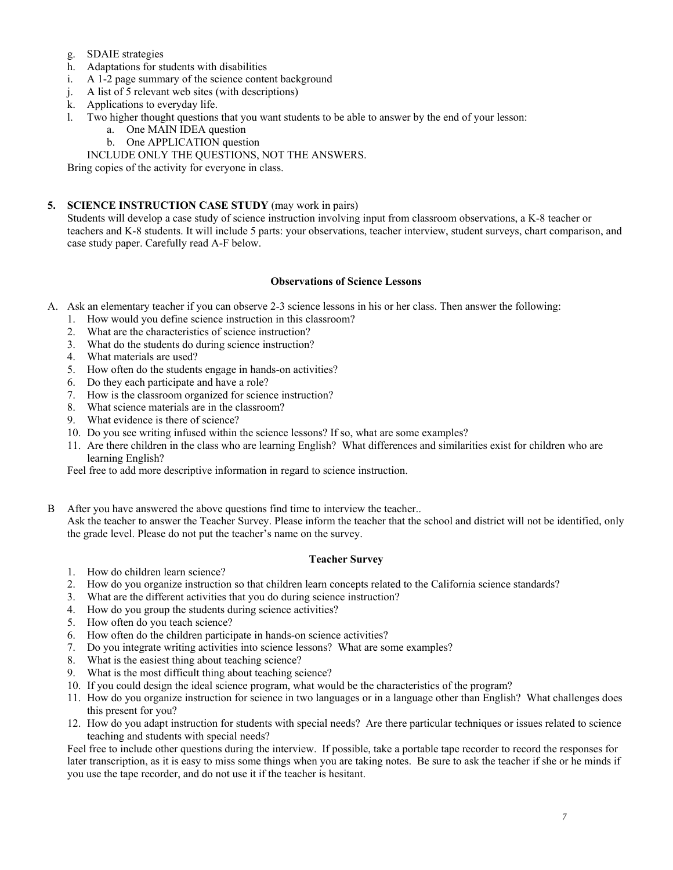- g. SDAIE strategies
- h. Adaptations for students with disabilities
- i. A 1-2 page summary of the science content background
- j. A list of 5 relevant web sites (with descriptions)
- k. Applications to everyday life.
- l. Two higher thought questions that you want students to be able to answer by the end of your lesson:
	- a. One MAIN IDEA question
	- b. One APPLICATION question

INCLUDE ONLY THE QUESTIONS, NOT THE ANSWERS.

Bring copies of the activity for everyone in class.

## **5. SCIENCE INSTRUCTION CASE STUDY** (may work in pairs)

Students will develop a case study of science instruction involving input from classroom observations, a K-8 teacher or teachers and K-8 students. It will include 5 parts: your observations, teacher interview, student surveys, chart comparison, and case study paper. Carefully read A-F below.

### **Observations of Science Lessons**

- A. Ask an elementary teacher if you can observe 2-3 science lessons in his or her class. Then answer the following:
	- 1. How would you define science instruction in this classroom?
	- 2. What are the characteristics of science instruction?
	- 3. What do the students do during science instruction?
	- 4. What materials are used?
	- 5. How often do the students engage in hands-on activities?
	- 6. Do they each participate and have a role?
	- 7. How is the classroom organized for science instruction?
	- 8. What science materials are in the classroom?
	- 9. What evidence is there of science?
	- 10. Do you see writing infused within the science lessons? If so, what are some examples?
	- 11. Are there children in the class who are learning English? What differences and similarities exist for children who are learning English?

Feel free to add more descriptive information in regard to science instruction.

B After you have answered the above questions find time to interview the teacher.. Ask the teacher to answer the Teacher Survey. Please inform the teacher that the school and district will not be identified, only the grade level. Please do not put the teacher's name on the survey.

### **Teacher Survey**

- 1. How do children learn science?
- 2. How do you organize instruction so that children learn concepts related to the California science standards?
- 3. What are the different activities that you do during science instruction?
- 4. How do you group the students during science activities?
- 5. How often do you teach science?
- 6. How often do the children participate in hands-on science activities?
- 7. Do you integrate writing activities into science lessons? What are some examples?
- 8. What is the easiest thing about teaching science?
- 9. What is the most difficult thing about teaching science?
- 10. If you could design the ideal science program, what would be the characteristics of the program?
- 11. How do you organize instruction for science in two languages or in a language other than English? What challenges does this present for you?
- 12. How do you adapt instruction for students with special needs? Are there particular techniques or issues related to science teaching and students with special needs?

Feel free to include other questions during the interview. If possible, take a portable tape recorder to record the responses for later transcription, as it is easy to miss some things when you are taking notes. Be sure to ask the teacher if she or he minds if you use the tape recorder, and do not use it if the teacher is hesitant.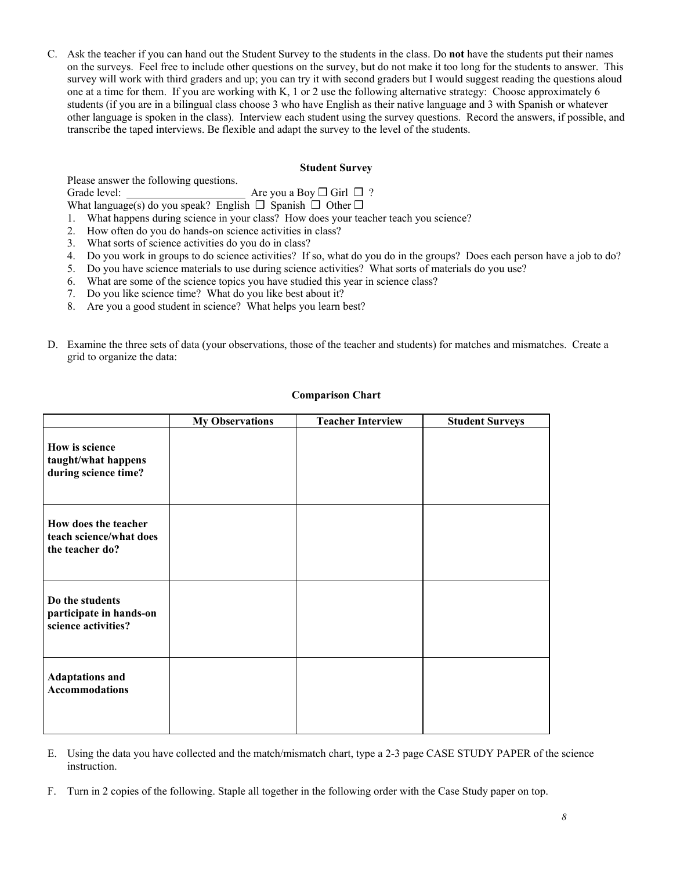C. Ask the teacher if you can hand out the Student Survey to the students in the class. Do **not** have the students put their names on the surveys. Feel free to include other questions on the survey, but do not make it too long for the students to answer. This survey will work with third graders and up; you can try it with second graders but I would suggest reading the questions aloud one at a time for them. If you are working with K, 1 or 2 use the following alternative strategy: Choose approximately 6 students (if you are in a bilingual class choose 3 who have English as their native language and 3 with Spanish or whatever other language is spoken in the class). Interview each student using the survey questions. Record the answers, if possible, and transcribe the taped interviews. Be flexible and adapt the survey to the level of the students.

#### **Student Survey**

Please answer the following questions. Grade level: <u>Are you a Boy</u> <del>◯</del> Girl ◯ ? What language(s) do you speak? English  $\Box$  Spanish  $\Box$  Other  $\Box$ 

- 1. What happens during science in your class? How does your teacher teach you science?
- 2. How often do you do hands-on science activities in class?
- 3. What sorts of science activities do you do in class?
- 4. Do you work in groups to do science activities? If so, what do you do in the groups? Does each person have a job to do?
- 5. Do you have science materials to use during science activities? What sorts of materials do you use?
- 6. What are some of the science topics you have studied this year in science class?
- 7. Do you like science time? What do you like best about it?
- 8. Are you a good student in science? What helps you learn best?
- D. Examine the three sets of data (your observations, those of the teacher and students) for matches and mismatches. Create a grid to organize the data:

|                                                                    | <b>My Observations</b> | <b>Teacher Interview</b> | <b>Student Surveys</b> |
|--------------------------------------------------------------------|------------------------|--------------------------|------------------------|
| How is science<br>taught/what happens<br>during science time?      |                        |                          |                        |
| How does the teacher<br>teach science/what does<br>the teacher do? |                        |                          |                        |
| Do the students<br>participate in hands-on<br>science activities?  |                        |                          |                        |
| <b>Adaptations and</b><br><b>Accommodations</b>                    |                        |                          |                        |

### **Comparison Chart**

- E. Using the data you have collected and the match/mismatch chart, type a 2-3 page CASE STUDY PAPER of the science instruction.
- F. Turn in 2 copies of the following. Staple all together in the following order with the Case Study paper on top.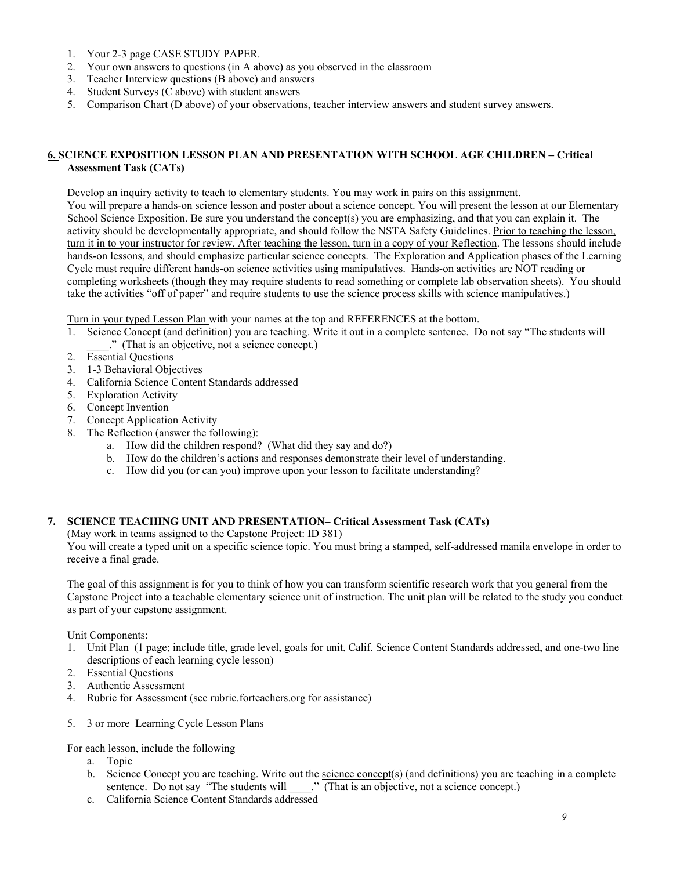- 1. Your 2-3 page CASE STUDY PAPER.
- 2. Your own answers to questions (in A above) as you observed in the classroom
- 3. Teacher Interview questions (B above) and answers
- 4. Student Surveys (C above) with student answers
- 5. Comparison Chart (D above) of your observations, teacher interview answers and student survey answers.

### **6. SCIENCE EXPOSITION LESSON PLAN AND PRESENTATION WITH SCHOOL AGE CHILDREN – Critical Assessment Task (CATs)**

Develop an inquiry activity to teach to elementary students. You may work in pairs on this assignment. You will prepare a hands-on science lesson and poster about a science concept. You will present the lesson at our Elementary School Science Exposition. Be sure you understand the concept(s) you are emphasizing, and that you can explain it. The activity should be developmentally appropriate, and should follow the NSTA Safety Guidelines. Prior to teaching the lesson, turn it in to your instructor for review. After teaching the lesson, turn in a copy of your Reflection. The lessons should include hands-on lessons, and should emphasize particular science concepts. The Exploration and Application phases of the Learning Cycle must require different hands-on science activities using manipulatives. Hands-on activities are NOT reading or completing worksheets (though they may require students to read something or complete lab observation sheets). You should take the activities "off of paper" and require students to use the science process skills with science manipulatives.)

Turn in your typed Lesson Plan with your names at the top and REFERENCES at the bottom.

- 1. Science Concept (and definition) you are teaching. Write it out in a complete sentence. Do not say "The students will \_\_\_\_." (That is an objective, not a science concept.)
- 2. Essential Questions
- 3. 1-3 Behavioral Objectives
- 4. California Science Content Standards addressed
- 5. Exploration Activity
- 6. Concept Invention
- 7. Concept Application Activity
- 8. The Reflection (answer the following):
	- a. How did the children respond? (What did they say and do?)
	- b. How do the children's actions and responses demonstrate their level of understanding.
	- c. How did you (or can you) improve upon your lesson to facilitate understanding?

### **7. SCIENCE TEACHING UNIT AND PRESENTATION– Critical Assessment Task (CATs)**

(May work in teams assigned to the Capstone Project: ID 381)

You will create a typed unit on a specific science topic. You must bring a stamped, self-addressed manila envelope in order to receive a final grade.

The goal of this assignment is for you to think of how you can transform scientific research work that you general from the Capstone Project into a teachable elementary science unit of instruction. The unit plan will be related to the study you conduct as part of your capstone assignment.

Unit Components:

- 1. Unit Plan (1 page; include title, grade level, goals for unit, Calif. Science Content Standards addressed, and one-two line descriptions of each learning cycle lesson)
- 2. Essential Questions
- 3. Authentic Assessment
- 4. Rubric for Assessment (see rubric.forteachers.org for assistance)
- 5. 3 or more Learning Cycle Lesson Plans

For each lesson, include the following

- a. Topic
- b. Science Concept you are teaching. Write out the science concept(s) (and definitions) you are teaching in a complete sentence. Do not say "The students will \_\_\_\_..." (That is an objective, not a science concept.)
- c. California Science Content Standards addressed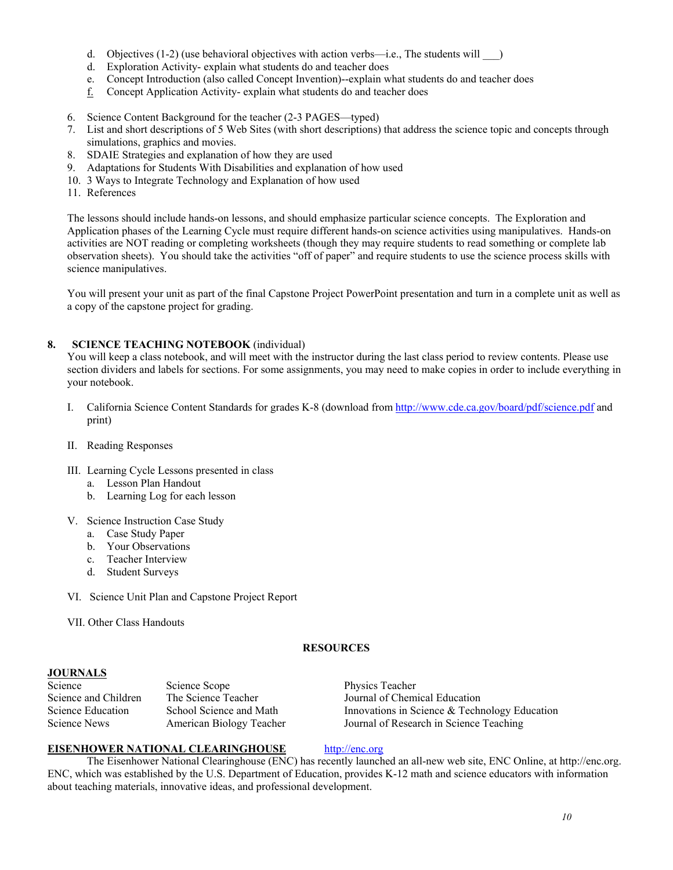- d. Objectives  $(1-2)$  (use behavioral objectives with action verbs—i.e., The students will  $\qquad$ )
- d. Exploration Activity- explain what students do and teacher does
- e. Concept Introduction (also called Concept Invention)--explain what students do and teacher does
- f. Concept Application Activity- explain what students do and teacher does
- 6. Science Content Background for the teacher (2-3 PAGES—typed)
- 7. List and short descriptions of 5 Web Sites (with short descriptions) that address the science topic and concepts through simulations, graphics and movies.
- 8. SDAIE Strategies and explanation of how they are used
- 9. Adaptations for Students With Disabilities and explanation of how used
- 10. 3 Ways to Integrate Technology and Explanation of how used
- 11. References

The lessons should include hands-on lessons, and should emphasize particular science concepts. The Exploration and Application phases of the Learning Cycle must require different hands-on science activities using manipulatives. Hands-on activities are NOT reading or completing worksheets (though they may require students to read something or complete lab observation sheets). You should take the activities "off of paper" and require students to use the science process skills with science manipulatives.

You will present your unit as part of the final Capstone Project PowerPoint presentation and turn in a complete unit as well as a copy of the capstone project for grading.

## **8. SCIENCE TEACHING NOTEBOOK** (individual)

You will keep a class notebook, and will meet with the instructor during the last class period to review contents. Please use section dividers and labels for sections. For some assignments, you may need to make copies in order to include everything in your notebook.

- I. California Science Content Standards for grades K-8 (download from http://www.cde.ca.gov/board/pdf/science.pdf and print)
- II. Reading Responses
- III. Learning Cycle Lessons presented in class
	- a. Lesson Plan Handout
	- b. Learning Log for each lesson
- V. Science Instruction Case Study
	- a. Case Study Paper
	- b. Your Observations
	- c. Teacher Interview
	- d. Student Surveys
- VI. Science Unit Plan and Capstone Project Report
- VII. Other Class Handouts

#### **RESOURCES**

### **JOURNALS**

| Science              | Science Scope            | Physics Teacher                                  |
|----------------------|--------------------------|--------------------------------------------------|
| Science and Children | The Science Teacher      | Journal of Chemical Education                    |
| Science Education    | School Science and Math  | Innovations in Science $\&$ Technology Education |
| Science News         | American Biology Teacher | Journal of Research in Science Teaching          |

### **EISENHOWER NATIONAL CLEARINGHOUSE** http://enc.org

The Eisenhower National Clearinghouse (ENC) has recently launched an all-new web site, ENC Online, at http://enc.org. ENC, which was established by the U.S. Department of Education, provides K-12 math and science educators with information about teaching materials, innovative ideas, and professional development.

### *10*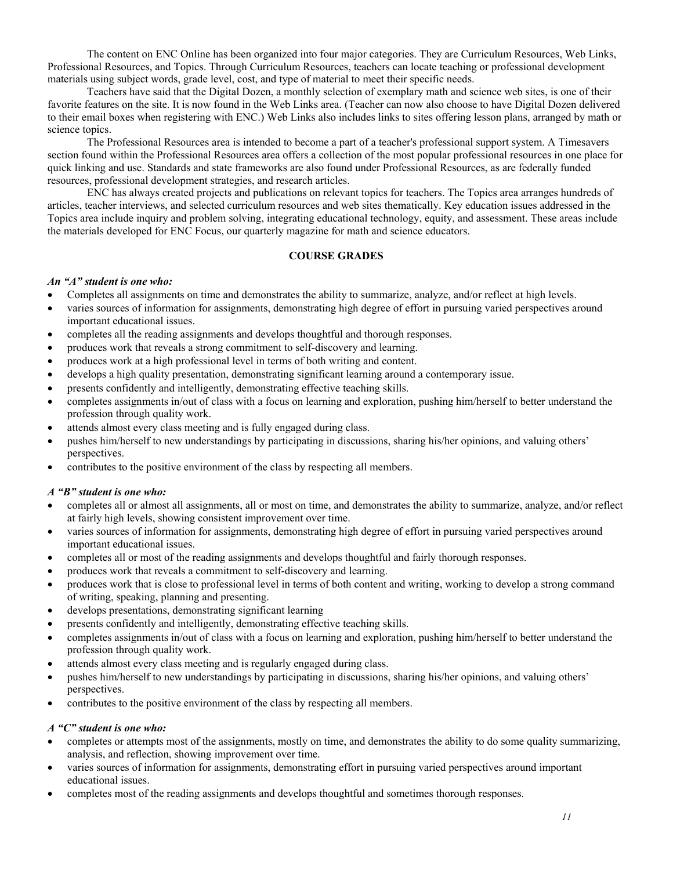The content on ENC Online has been organized into four major categories. They are Curriculum Resources, Web Links, Professional Resources, and Topics. Through Curriculum Resources, teachers can locate teaching or professional development materials using subject words, grade level, cost, and type of material to meet their specific needs.

Teachers have said that the Digital Dozen, a monthly selection of exemplary math and science web sites, is one of their favorite features on the site. It is now found in the Web Links area. (Teacher can now also choose to have Digital Dozen delivered to their email boxes when registering with ENC.) Web Links also includes links to sites offering lesson plans, arranged by math or science topics.

The Professional Resources area is intended to become a part of a teacher's professional support system. A Timesavers section found within the Professional Resources area offers a collection of the most popular professional resources in one place for quick linking and use. Standards and state frameworks are also found under Professional Resources, as are federally funded resources, professional development strategies, and research articles.

ENC has always created projects and publications on relevant topics for teachers. The Topics area arranges hundreds of articles, teacher interviews, and selected curriculum resources and web sites thematically. Key education issues addressed in the Topics area include inquiry and problem solving, integrating educational technology, equity, and assessment. These areas include the materials developed for ENC Focus, our quarterly magazine for math and science educators.

### **COURSE GRADES**

#### *An "A" student is one who:*

- Completes all assignments on time and demonstrates the ability to summarize, analyze, and/or reflect at high levels.
- varies sources of information for assignments, demonstrating high degree of effort in pursuing varied perspectives around important educational issues.
- completes all the reading assignments and develops thoughtful and thorough responses.
- produces work that reveals a strong commitment to self-discovery and learning.
- produces work at a high professional level in terms of both writing and content.
- develops a high quality presentation, demonstrating significant learning around a contemporary issue.
- presents confidently and intelligently, demonstrating effective teaching skills.
- completes assignments in/out of class with a focus on learning and exploration, pushing him/herself to better understand the profession through quality work.
- attends almost every class meeting and is fully engaged during class.
- pushes him/herself to new understandings by participating in discussions, sharing his/her opinions, and valuing others' perspectives.
- contributes to the positive environment of the class by respecting all members.

#### *A "B" student is one who:*

- completes all or almost all assignments, all or most on time, and demonstrates the ability to summarize, analyze, and/or reflect at fairly high levels, showing consistent improvement over time.
- varies sources of information for assignments, demonstrating high degree of effort in pursuing varied perspectives around important educational issues.
- completes all or most of the reading assignments and develops thoughtful and fairly thorough responses.
- produces work that reveals a commitment to self-discovery and learning.
- produces work that is close to professional level in terms of both content and writing, working to develop a strong command of writing, speaking, planning and presenting.
- develops presentations, demonstrating significant learning
- presents confidently and intelligently, demonstrating effective teaching skills.
- completes assignments in/out of class with a focus on learning and exploration, pushing him/herself to better understand the profession through quality work.
- attends almost every class meeting and is regularly engaged during class.
- pushes him/herself to new understandings by participating in discussions, sharing his/her opinions, and valuing others' perspectives.
- contributes to the positive environment of the class by respecting all members.

#### *A "C" student is one who:*

- completes or attempts most of the assignments, mostly on time, and demonstrates the ability to do some quality summarizing, analysis, and reflection, showing improvement over time.
- varies sources of information for assignments, demonstrating effort in pursuing varied perspectives around important educational issues.
- completes most of the reading assignments and develops thoughtful and sometimes thorough responses.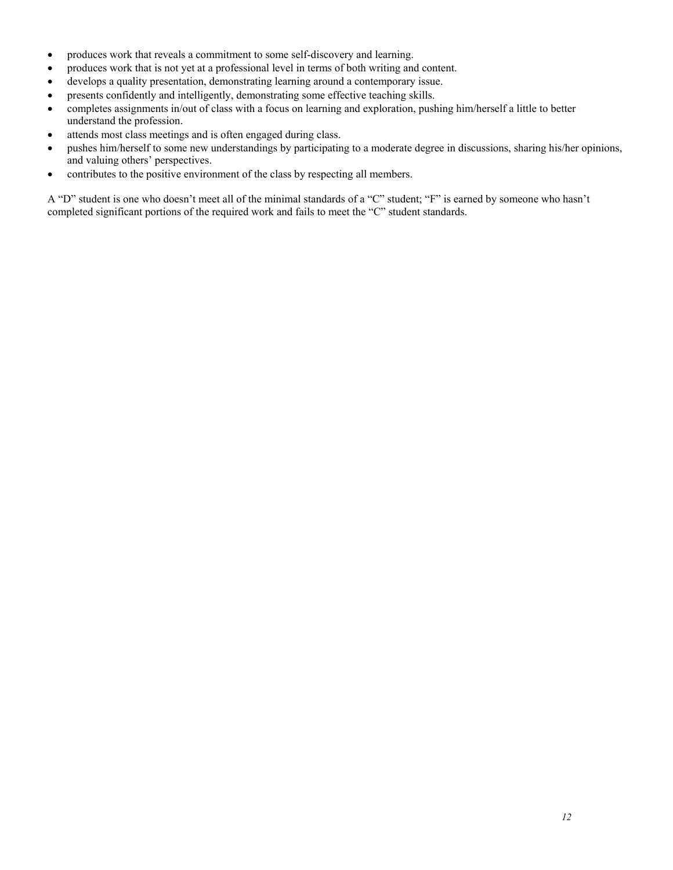- produces work that reveals a commitment to some self-discovery and learning.
- produces work that is not yet at a professional level in terms of both writing and content.
- develops a quality presentation, demonstrating learning around a contemporary issue.
- presents confidently and intelligently, demonstrating some effective teaching skills.
- completes assignments in/out of class with a focus on learning and exploration, pushing him/herself a little to better understand the profession.
- attends most class meetings and is often engaged during class.
- pushes him/herself to some new understandings by participating to a moderate degree in discussions, sharing his/her opinions, and valuing others' perspectives.
- contributes to the positive environment of the class by respecting all members.

A "D" student is one who doesn't meet all of the minimal standards of a "C" student; "F" is earned by someone who hasn't completed significant portions of the required work and fails to meet the "C" student standards.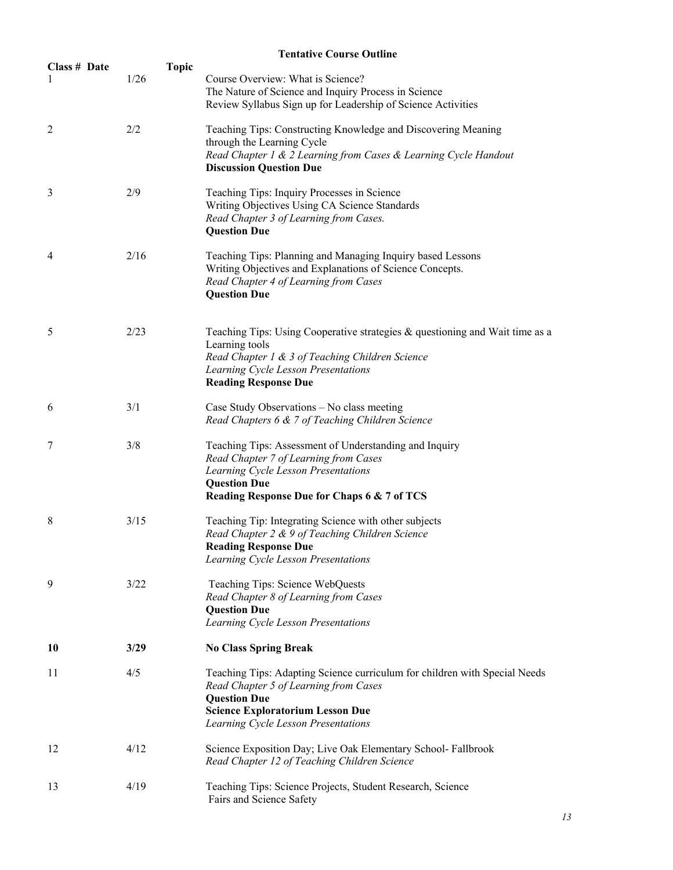|                   | <b>Tentative Course Outline</b> |                                                                                                                                                                                                                              |  |  |
|-------------------|---------------------------------|------------------------------------------------------------------------------------------------------------------------------------------------------------------------------------------------------------------------------|--|--|
| Class # Date<br>1 | <b>Topic</b><br>1/26            | Course Overview: What is Science?<br>The Nature of Science and Inquiry Process in Science<br>Review Syllabus Sign up for Leadership of Science Activities                                                                    |  |  |
| 2                 | 2/2                             | Teaching Tips: Constructing Knowledge and Discovering Meaning<br>through the Learning Cycle<br>Read Chapter 1 & 2 Learning from Cases & Learning Cycle Handout<br><b>Discussion Question Due</b>                             |  |  |
| 3                 | 2/9                             | Teaching Tips: Inquiry Processes in Science<br>Writing Objectives Using CA Science Standards<br>Read Chapter 3 of Learning from Cases.<br><b>Question Due</b>                                                                |  |  |
| 4                 | 2/16                            | Teaching Tips: Planning and Managing Inquiry based Lessons<br>Writing Objectives and Explanations of Science Concepts.<br>Read Chapter 4 of Learning from Cases<br><b>Question Due</b>                                       |  |  |
| 5                 | 2/23                            | Teaching Tips: Using Cooperative strategies & questioning and Wait time as a<br>Learning tools<br>Read Chapter 1 & 3 of Teaching Children Science<br>Learning Cycle Lesson Presentations<br><b>Reading Response Due</b>      |  |  |
| 6                 | 3/1                             | Case Study Observations - No class meeting<br>Read Chapters 6 & 7 of Teaching Children Science                                                                                                                               |  |  |
| 7                 | 3/8                             | Teaching Tips: Assessment of Understanding and Inquiry<br>Read Chapter 7 of Learning from Cases<br>Learning Cycle Lesson Presentations<br><b>Question Due</b><br>Reading Response Due for Chaps 6 & 7 of TCS                 |  |  |
| 8                 | 3/15                            | Teaching Tip: Integrating Science with other subjects<br>Read Chapter 2 & 9 of Teaching Children Science<br><b>Reading Response Due</b><br>Learning Cycle Lesson Presentations                                               |  |  |
| 9                 | 3/22                            | Teaching Tips: Science WebQuests<br>Read Chapter 8 of Learning from Cases<br><b>Question Due</b><br>Learning Cycle Lesson Presentations                                                                                      |  |  |
| 10                | 3/29                            | <b>No Class Spring Break</b>                                                                                                                                                                                                 |  |  |
| 11                | 4/5                             | Teaching Tips: Adapting Science curriculum for children with Special Needs<br>Read Chapter 5 of Learning from Cases<br><b>Question Due</b><br><b>Science Exploratorium Lesson Due</b><br>Learning Cycle Lesson Presentations |  |  |
| 12                | 4/12                            | Science Exposition Day; Live Oak Elementary School-Fallbrook<br>Read Chapter 12 of Teaching Children Science                                                                                                                 |  |  |
| 13                | 4/19                            | Teaching Tips: Science Projects, Student Research, Science<br>Fairs and Science Safety                                                                                                                                       |  |  |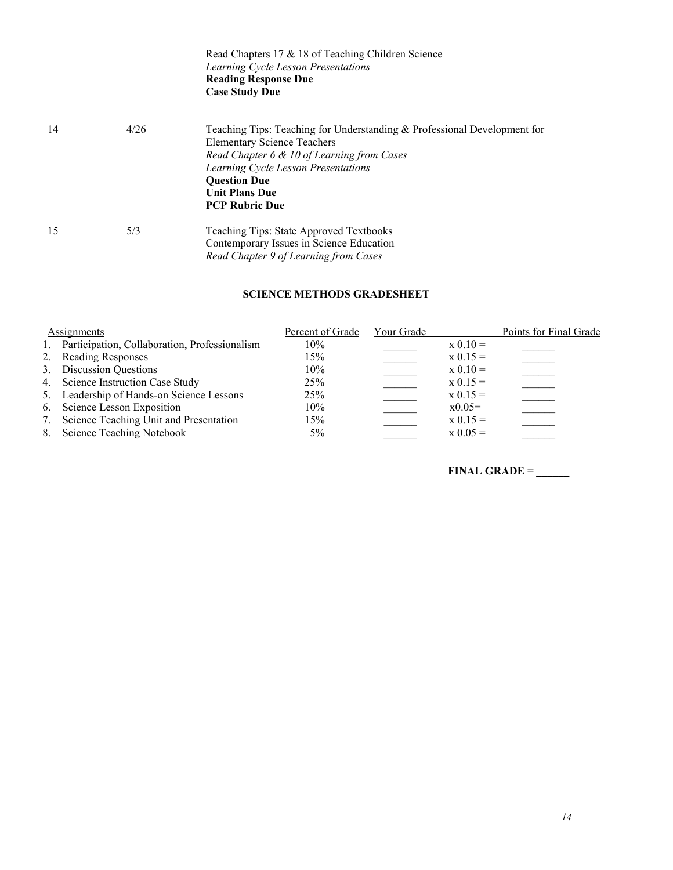|    |      | Read Chapters 17 & 18 of Teaching Children Science<br>Learning Cycle Lesson Presentations<br><b>Reading Response Due</b><br><b>Case Study Due</b>                                                                                                                            |
|----|------|------------------------------------------------------------------------------------------------------------------------------------------------------------------------------------------------------------------------------------------------------------------------------|
| 14 | 4/26 | Teaching Tips: Teaching for Understanding & Professional Development for<br><b>Elementary Science Teachers</b><br>Read Chapter 6 & 10 of Learning from Cases<br>Learning Cycle Lesson Presentations<br><b>Ouestion Due</b><br><b>Unit Plans Due</b><br><b>PCP Rubric Due</b> |
| 15 | 5/3  | Teaching Tips: State Approved Textbooks<br>Contemporary Issues in Science Education<br>Read Chapter 9 of Learning from Cases                                                                                                                                                 |

## **SCIENCE METHODS GRADESHEET**

|    | Assignments                                      | Percent of Grade | Your Grade |            | Points for Final Grade |
|----|--------------------------------------------------|------------------|------------|------------|------------------------|
|    | 1. Participation, Collaboration, Professionalism | 10%              |            | $x 0.10 =$ |                        |
|    | 2. Reading Responses                             | 15%              |            | $x 0.15 =$ |                        |
|    | 3. Discussion Questions                          | 10%              |            | $x 0.10 =$ |                        |
|    | 4. Science Instruction Case Study                | 25%              |            | $x 0.15 =$ |                        |
|    | 5. Leadership of Hands-on Science Lessons        | 25%              |            | $x 0.15 =$ |                        |
|    | 6. Science Lesson Exposition                     | 10%              |            | $x0.05=$   |                        |
| 7. | Science Teaching Unit and Presentation           | 15%              |            | $x 0.15 =$ |                        |
| 8. | Science Teaching Notebook                        | $5\%$            |            | $x 0.05 =$ |                        |

**FINAL GRADE = \_\_\_\_\_\_**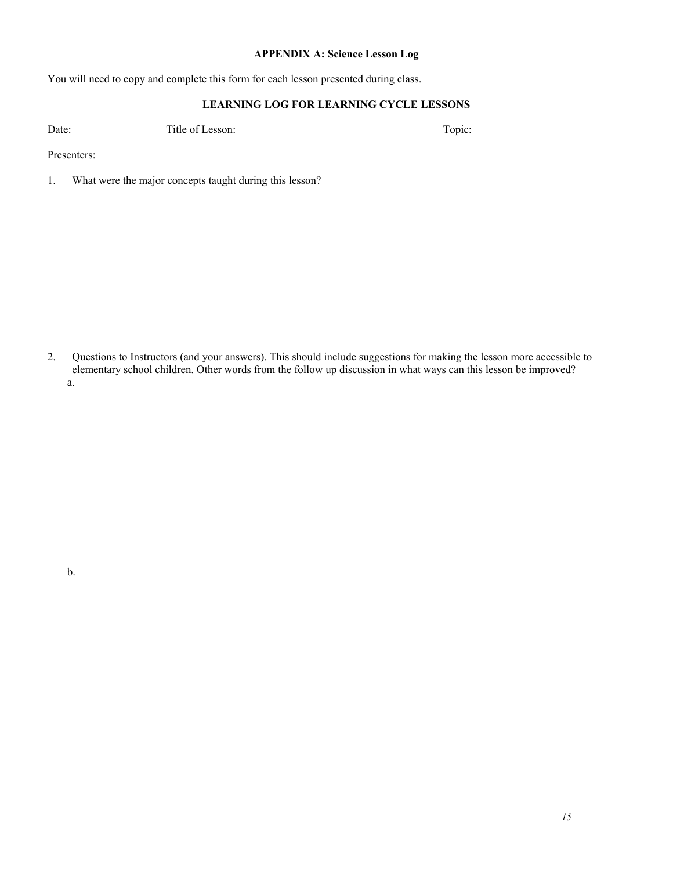## **APPENDIX A: Science Lesson Log**

You will need to copy and complete this form for each lesson presented during class.

## **LEARNING LOG FOR LEARNING CYCLE LESSONS**

Date: Title of Lesson: The Topic: Topic: Topic:

Presenters:

1. What were the major concepts taught during this lesson?

2. Questions to Instructors (and your answers). This should include suggestions for making the lesson more accessible to elementary school children. Other words from the follow up discussion in what ways can this lesson be improved? a.

b.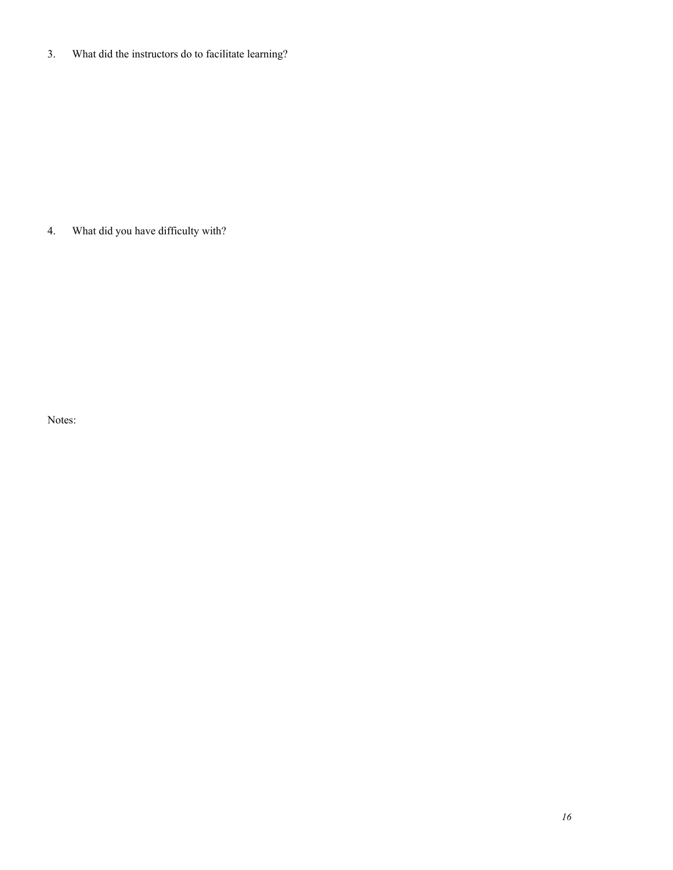3. What did the instructors do to facilitate learning?

4. What did you have difficulty with?

Notes: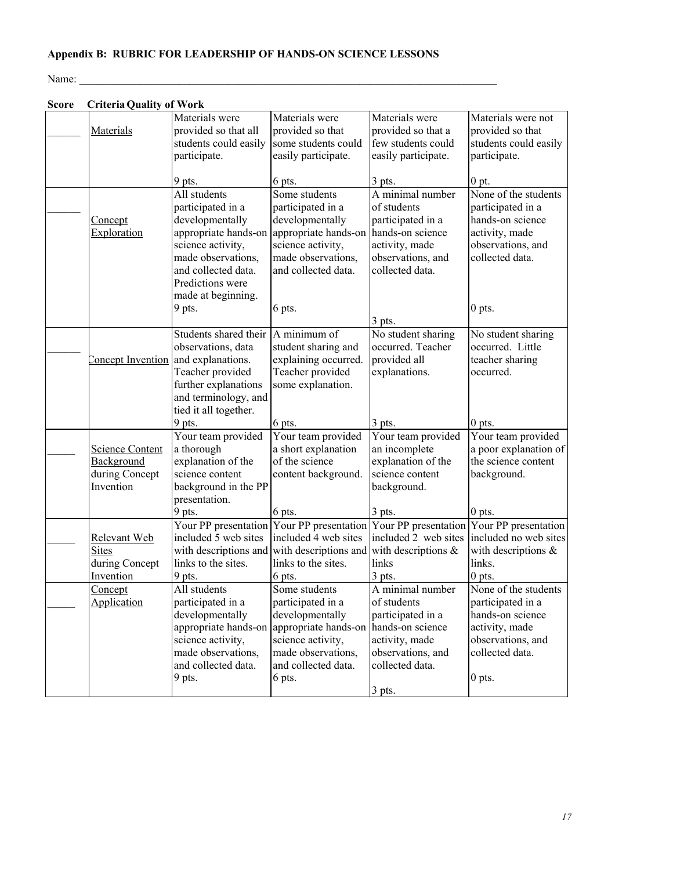# **Appendix B: RUBRIC FOR LEADERSHIP OF HANDS-ON SCIENCE LESSONS**

Name:

| <b>Score</b> | <b>Criteria Quality of Work</b>                              |                                                                                                                                                                    |                                                                                                                                                           |                                                                                                                                              |                                                                                                                                     |
|--------------|--------------------------------------------------------------|--------------------------------------------------------------------------------------------------------------------------------------------------------------------|-----------------------------------------------------------------------------------------------------------------------------------------------------------|----------------------------------------------------------------------------------------------------------------------------------------------|-------------------------------------------------------------------------------------------------------------------------------------|
|              | Materials                                                    | Materials were<br>provided so that all<br>students could easily<br>participate.                                                                                    | Materials were<br>provided so that<br>some students could<br>easily participate.                                                                          | Materials were<br>provided so that a<br>few students could<br>easily participate.                                                            | Materials were not<br>provided so that<br>students could easily<br>participate.                                                     |
|              |                                                              | 9 pts.                                                                                                                                                             | 6 pts.                                                                                                                                                    | 3 pts.                                                                                                                                       | $0$ pt.                                                                                                                             |
|              | Concept<br>Exploration                                       | All students<br>participated in a<br>developmentally<br>appropriate hands-on<br>science activity,<br>made observations,<br>and collected data.<br>Predictions were | Some students<br>participated in a<br>developmentally<br>appropriate hands-on<br>science activity,<br>made observations,<br>and collected data.           | A minimal number<br>of students<br>participated in a<br>hands-on science<br>activity, made<br>observations, and<br>collected data.           | None of the students<br>participated in a<br>hands-on science<br>activity, made<br>observations, and<br>collected data.             |
|              |                                                              | made at beginning.<br>9 pts.                                                                                                                                       | 6 pts.                                                                                                                                                    | 3 pts.                                                                                                                                       | $0$ pts.                                                                                                                            |
|              | Concept Invention                                            | Students shared their<br>observations, data<br>and explanations.<br>Teacher provided<br>further explanations<br>and terminology, and<br>tied it all together.      | A minimum of<br>student sharing and<br>explaining occurred.<br>Teacher provided<br>some explanation.                                                      | No student sharing<br>occurred. Teacher<br>provided all<br>explanations.                                                                     | No student sharing<br>occurred. Little<br>teacher sharing<br>occurred.                                                              |
|              |                                                              | 9 pts.                                                                                                                                                             | 6 pts.                                                                                                                                                    | $3$ pts.                                                                                                                                     | $0$ pts.                                                                                                                            |
|              | Science Content<br>Background<br>during Concept<br>Invention | Your team provided<br>a thorough<br>explanation of the<br>science content<br>background in the PP<br>presentation.<br>9 pts.                                       | Your team provided<br>a short explanation<br>of the science<br>content background.                                                                        | Your team provided<br>an incomplete<br>explanation of the<br>science content<br>background.                                                  | Your team provided<br>a poor explanation of<br>the science content<br>background.<br>$0$ pts.                                       |
|              |                                                              |                                                                                                                                                                    | 6 pts.<br>Your PP presentation Your PP presentation Your PP presentation Your PP presentation                                                             | 3 pts.                                                                                                                                       |                                                                                                                                     |
|              | Relevant Web<br><b>Sites</b><br>during Concept<br>Invention  | included 5 web sites<br>with descriptions and<br>links to the sites.<br>9 pts.                                                                                     | included 4 web sites<br>with descriptions and<br>links to the sites.<br>6 pts.                                                                            | included 2 web sites<br>with descriptions $\&$<br>links<br>3 pts.                                                                            | included no web sites<br>with descriptions $\&$<br>links.<br>$0$ pts.                                                               |
|              | Concept<br>Application                                       | All students<br>participated in a<br>developmentally<br>appropriate hands-on<br>science activity,<br>made observations,<br>and collected data.<br>9 pts.           | Some students<br>participated in a<br>developmentally<br>appropriate hands-on<br>science activity,<br>made observations,<br>and collected data.<br>6 pts. | A minimal number<br>of students<br>participated in a<br>hands-on science<br>activity, made<br>observations, and<br>collected data.<br>3 pts. | None of the students<br>participated in a<br>hands-on science<br>activity, made<br>observations, and<br>collected data.<br>$0$ pts. |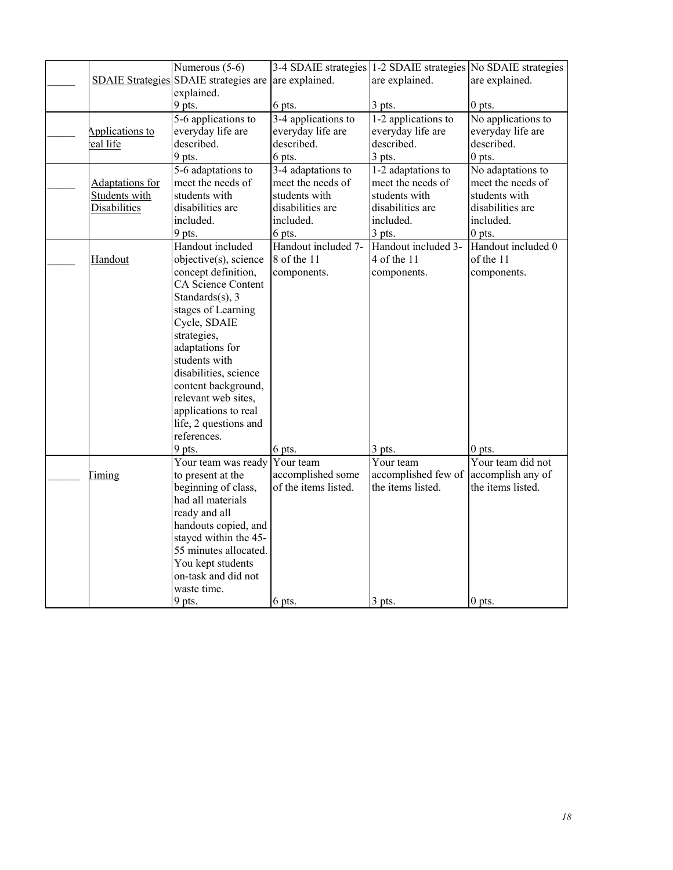|                 | Numerous (5-6)                        | 3-4 SDAIE strategies 1-2 SDAIE strategies No SDAIE strategies |                     |                    |
|-----------------|---------------------------------------|---------------------------------------------------------------|---------------------|--------------------|
|                 | SDAIE Strategies SDAIE strategies are | are explained.                                                | are explained.      | are explained.     |
|                 | explained.                            |                                                               |                     |                    |
|                 | 9 pts.                                | 6 pts.                                                        | $3$ pts.            | $0$ pts.           |
|                 | 5-6 applications to                   | 3-4 applications to                                           | 1-2 applications to | No applications to |
| Applications to | everyday life are                     | everyday life are                                             | everyday life are   | everyday life are  |
| eal life        | described.                            | described.                                                    | described.          | described.         |
|                 | 9 pts.                                | 6 pts.                                                        | 3 pts.              | $0$ pts.           |
|                 | 5-6 adaptations to                    | 3-4 adaptations to                                            | 1-2 adaptations to  | No adaptations to  |
| Adaptations for | meet the needs of                     | meet the needs of                                             | meet the needs of   | meet the needs of  |
| Students with   | students with                         | students with                                                 | students with       | students with      |
| Disabilities    | disabilities are                      | disabilities are                                              | disabilities are    | disabilities are   |
|                 | included.                             | included.                                                     | included.           | included.          |
|                 | 9 pts.                                | 6 pts.                                                        | $3$ pts.            | $0$ pts.           |
|                 | Handout included                      | Handout included 7-                                           | Handout included 3- | Handout included 0 |
| Handout         | objective(s), science                 | 8 of the 11                                                   | 4 of the 11         | of the 11          |
|                 | concept definition,                   | components.                                                   | components.         | components.        |
|                 | CA Science Content                    |                                                               |                     |                    |
|                 | Standards $(s)$ , 3                   |                                                               |                     |                    |
|                 | stages of Learning                    |                                                               |                     |                    |
|                 | Cycle, SDAIE                          |                                                               |                     |                    |
|                 | strategies,                           |                                                               |                     |                    |
|                 | adaptations for                       |                                                               |                     |                    |
|                 | students with                         |                                                               |                     |                    |
|                 | disabilities, science                 |                                                               |                     |                    |
|                 | content background,                   |                                                               |                     |                    |
|                 | relevant web sites,                   |                                                               |                     |                    |
|                 | applications to real                  |                                                               |                     |                    |
|                 | life, 2 questions and                 |                                                               |                     |                    |
|                 | references.                           |                                                               |                     |                    |
|                 | 9 pts.                                | 6 pts.                                                        | $3$ pts.            | $0$ pts.           |
|                 | Your team was ready                   | Your team                                                     | Your team           | Your team did not  |
| <b>Timing</b>   | to present at the                     | accomplished some                                             | accomplished few of | accomplish any of  |
|                 | beginning of class,                   | of the items listed.                                          | the items listed.   | the items listed.  |
|                 | had all materials                     |                                                               |                     |                    |
|                 | ready and all                         |                                                               |                     |                    |
|                 | handouts copied, and                  |                                                               |                     |                    |
|                 | stayed within the 45-                 |                                                               |                     |                    |
|                 | 55 minutes allocated.                 |                                                               |                     |                    |
|                 | You kept students                     |                                                               |                     |                    |
|                 | on-task and did not                   |                                                               |                     |                    |
|                 | waste time.                           |                                                               |                     |                    |
|                 | 9 pts.                                | 6 pts.                                                        | 3 pts.              | $0$ pts.           |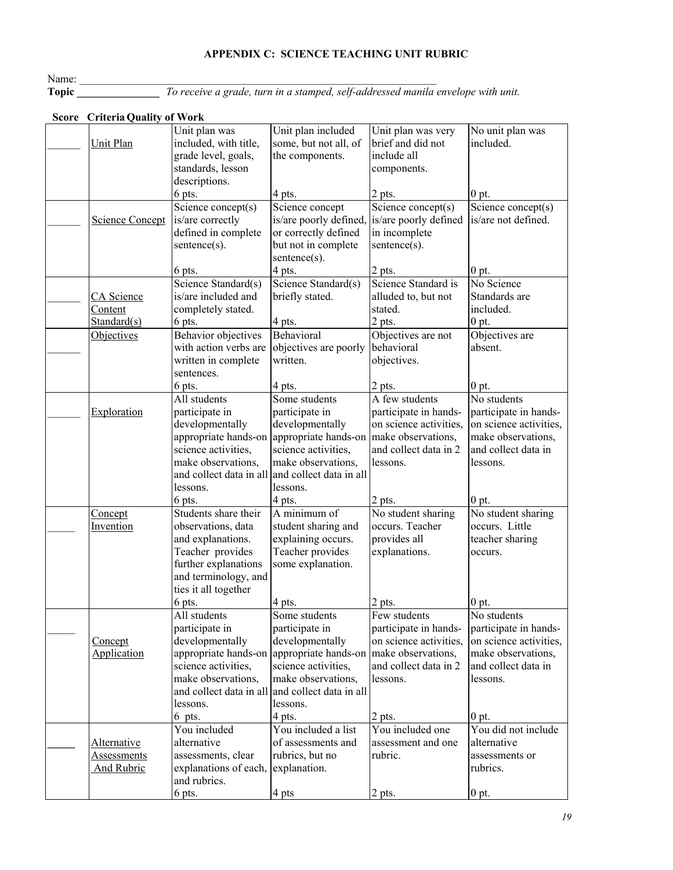# **APPENDIX C: SCIENCE TEACHING UNIT RUBRIC**

Name:

**Topic \_\_\_\_\_\_\_\_\_\_\_\_\_\_\_** *To receive a grade, turn in a stamped, self-addressed manila envelope with unit.*

| SCOTE CTRETIA QUAIRY OF WOTK      |                                              |                                           |                                             |                                           |
|-----------------------------------|----------------------------------------------|-------------------------------------------|---------------------------------------------|-------------------------------------------|
|                                   | Unit plan was                                | Unit plan included                        | Unit plan was very                          | No unit plan was                          |
| <b>Unit Plan</b>                  | included, with title,                        | some, but not all, of                     | brief and did not                           | included.                                 |
|                                   | grade level, goals,                          | the components.                           | include all                                 |                                           |
|                                   | standards, lesson                            |                                           | components.                                 |                                           |
|                                   | descriptions.                                |                                           |                                             |                                           |
|                                   | 6 pts.                                       | 4 pts.                                    | 2 pts.                                      | $0$ pt.                                   |
| <b>Science Concept</b>            | Science concept(s)<br>is/are correctly       | Science concept<br>is/are poorly defined, | Science concept(s)<br>is/are poorly defined | Science concept(s)<br>is/are not defined. |
|                                   | defined in complete                          | or correctly defined                      | in incomplete                               |                                           |
|                                   | sentence(s).                                 | but not in complete                       | $sentence(s)$ .                             |                                           |
|                                   |                                              | sentence(s).                              |                                             |                                           |
|                                   | 6 pts.                                       | 4 pts.                                    | 2 pts.                                      | $0$ pt.                                   |
|                                   | Science Standard(s)                          | Science Standard(s)                       | Science Standard is                         | No Science                                |
| CA Science                        | is/are included and                          | briefly stated.                           | alluded to, but not                         | Standards are                             |
| <b>Content</b>                    | completely stated.                           |                                           | stated.                                     | included.                                 |
| Standard(s)                       | 6 pts.                                       | 4 pts.                                    | 2 pts.                                      | $0$ pt.                                   |
| Objectives                        | Behavior objectives                          | Behavioral                                | Objectives are not                          | Objectives are                            |
|                                   | with action verbs are                        | objectives are poorly                     | behavioral                                  | absent.                                   |
|                                   | written in complete                          | written.                                  | objectives.                                 |                                           |
|                                   | sentences.<br>6 pts.                         |                                           |                                             | $0$ pt.                                   |
|                                   | All students                                 | 4 pts.<br>Some students                   | 2 pts.<br>A few students                    | $\overline{\text{No}}$ students           |
| Exploration                       | participate in                               | participate in                            | participate in hands-                       | participate in hands-                     |
|                                   | developmentally                              | developmentally                           | on science activities,                      | on science activities,                    |
|                                   | appropriate hands-on                         | appropriate hands-on                      | make observations,                          | make observations,                        |
|                                   | science activities,                          | science activities,                       | and collect data in 2                       | and collect data in                       |
|                                   | make observations,                           | make observations,                        | lessons.                                    | lessons.                                  |
|                                   | and collect data in all                      | and collect data in all                   |                                             |                                           |
|                                   | lessons.                                     | lessons.                                  |                                             |                                           |
|                                   | 6 pts.                                       | 4 pts.                                    | 2 pts.                                      | 0 <sub>pt.</sub>                          |
| Concept                           | Students share their                         | A minimum of                              | No student sharing                          | No student sharing                        |
| Invention                         | observations, data                           | student sharing and                       | occurs. Teacher                             | occurs. Little                            |
|                                   | and explanations.                            | explaining occurs.                        | provides all                                | teacher sharing                           |
|                                   | Teacher provides                             | Teacher provides                          | explanations.                               | occurs.                                   |
|                                   | further explanations<br>and terminology, and | some explanation.                         |                                             |                                           |
|                                   | ties it all together                         |                                           |                                             |                                           |
|                                   | 6 pts.                                       | 4 pts.                                    | 2 pts.                                      | 0 <sub>pt.</sub>                          |
|                                   | All students                                 | Some students                             | Few students                                | No students                               |
|                                   | participate in                               | participate in                            | participate in hands-                       | participate in hands-                     |
| <b>Concept</b>                    | developmentally                              | developmentally                           | on science activities,                      | on science activities,                    |
| Application                       | appropriate hands-on                         | appropriate hands-on                      | make observations,                          | make observations,                        |
|                                   | science activities,                          | science activities.                       | and collect data in 2                       | and collect data in                       |
|                                   | make observations,                           | make observations,                        | lessons.                                    | lessons.                                  |
|                                   | and collect data in all                      | and collect data in all                   |                                             |                                           |
|                                   | lessons.                                     | lessons.                                  |                                             |                                           |
|                                   | 6 pts.                                       | 4 pts.                                    | 2 pts.                                      | $0$ pt.                                   |
|                                   | You included<br>alternative                  | You included a list<br>of assessments and | You included one<br>assessment and one      | You did not include<br>alternative        |
| Alternative<br><b>Assessments</b> | assessments, clear                           | rubrics, but no                           | rubric.                                     | assessments or                            |
| <b>And Rubric</b>                 | explanations of each,                        | explanation.                              |                                             | rubrics.                                  |
|                                   | and rubrics.                                 |                                           |                                             |                                           |
|                                   | 6 pts.                                       | 4 pts                                     | $2$ pts.                                    | $0$ pt.                                   |

## **Score Criteria Quality of Work**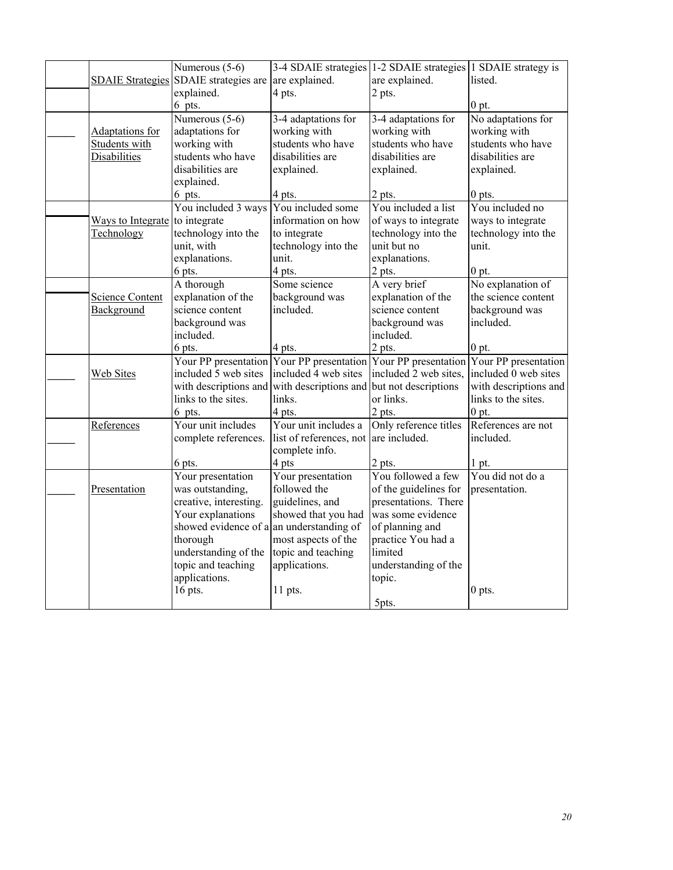|                         | Numerous (5-6)                           | 3-4 SDAIE strategies 1-2 SDAIE strategies 1 SDAIE strategy is                       |                       |                       |
|-------------------------|------------------------------------------|-------------------------------------------------------------------------------------|-----------------------|-----------------------|
| <b>SDAIE Strategies</b> | SDAIE strategies are are explained.      |                                                                                     | are explained.        | listed.               |
|                         | explained.                               | 4 pts.                                                                              | 2 pts.                |                       |
|                         | 6 pts.                                   |                                                                                     |                       | $0$ pt.               |
|                         | Numerous $(5-6)$                         | 3-4 adaptations for                                                                 | 3-4 adaptations for   | No adaptations for    |
| Adaptations for         | adaptations for                          | working with                                                                        | working with          | working with          |
| Students with           | working with                             | students who have                                                                   | students who have     | students who have     |
| Disabilities            | students who have                        | disabilities are                                                                    | disabilities are      | disabilities are      |
|                         | disabilities are                         | explained.                                                                          | explained.            | explained.            |
|                         | explained.                               |                                                                                     |                       |                       |
|                         | 6 pts.                                   | 4 pts.                                                                              | 2 pts.                | $0$ pts.              |
|                         | You included 3 ways                      | You included some                                                                   | You included a list   | You included no       |
| Ways to Integrate       | to integrate                             | information on how                                                                  | of ways to integrate  | ways to integrate     |
| Technology              | technology into the                      | to integrate                                                                        | technology into the   | technology into the   |
|                         | unit, with                               | technology into the                                                                 | unit but no           | unit.                 |
|                         | explanations.                            | unit.                                                                               | explanations.         |                       |
|                         | 6 pts.                                   | 4 pts.                                                                              | 2 pts.                | 0 pt.                 |
|                         | A thorough                               | Some science                                                                        | A very brief          | No explanation of     |
| Science Content         | explanation of the                       | background was                                                                      | explanation of the    | the science content   |
| Background              | science content                          | included.                                                                           | science content       | background was        |
|                         | background was                           |                                                                                     | background was        | included.             |
|                         | included.                                |                                                                                     | included.             |                       |
|                         | 6 pts.                                   | 4 pts.                                                                              | 2 pts.                | $0$ pt.               |
|                         |                                          | Your PP presentation Your PP presentation Your PP presentation Your PP presentation |                       |                       |
| Web Sites               | included 5 web sites                     | included 4 web sites                                                                | included 2 web sites, | included 0 web sites  |
|                         | with descriptions and                    | with descriptions and                                                               | but not descriptions  | with descriptions and |
|                         | links to the sites.                      | links.                                                                              | or links.             | links to the sites.   |
|                         | 6 pts.                                   | 4 pts.                                                                              | 2 pts.                | $0$ pt.               |
| References              | Your unit includes                       | Your unit includes a                                                                | Only reference titles | References are not    |
|                         | complete references.                     | list of references, not                                                             | are included.         | included.             |
|                         |                                          | complete info.                                                                      |                       |                       |
|                         | 6 pts.                                   | 4 pts                                                                               | 2 pts.                | 1 pt.                 |
|                         | Your presentation                        | Your presentation                                                                   | You followed a few    | You did not do a      |
| Presentation            | was outstanding,                         | followed the                                                                        | of the guidelines for | presentation.         |
|                         | creative, interesting.                   | guidelines, and                                                                     | presentations. There  |                       |
|                         | Your explanations                        | showed that you had                                                                 | was some evidence     |                       |
|                         | showed evidence of a an understanding of |                                                                                     | of planning and       |                       |
|                         | thorough                                 | most aspects of the                                                                 | practice You had a    |                       |
|                         | understanding of the                     | topic and teaching                                                                  | limited               |                       |
|                         | topic and teaching                       | applications.                                                                       | understanding of the  |                       |
|                         | applications.                            |                                                                                     | topic.                |                       |
|                         | 16 pts.                                  | $11$ pts.                                                                           |                       | $0$ pts.              |
|                         |                                          |                                                                                     | 5pts.                 |                       |